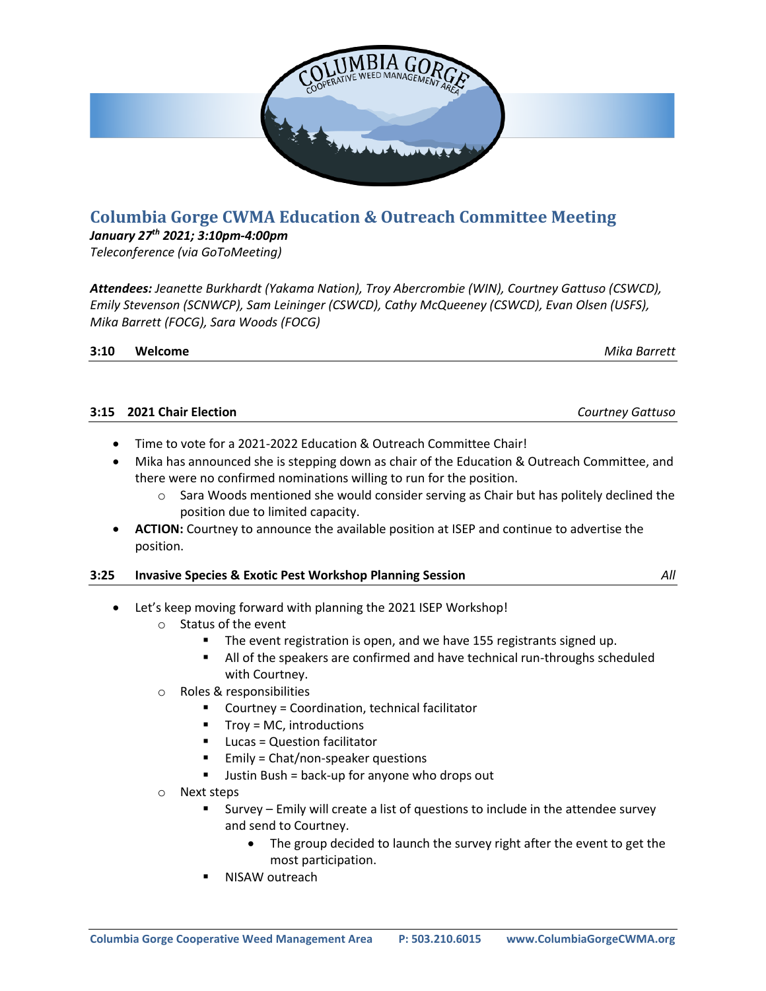

# **Columbia Gorge CWMA Education & Outreach Committee Meeting**

## *January 27th 2021; 3:10pm-4:00pm*

*Teleconference (via GoToMeeting)*

*Attendees: Jeanette Burkhardt (Yakama Nation), Troy Abercrombie (WIN), Courtney Gattuso (CSWCD), Emily Stevenson (SCNWCP), Sam Leininger (CSWCD), Cathy McQueeney (CSWCD), Evan Olsen (USFS), Mika Barrett (FOCG), Sara Woods (FOCG)*

| 3:10 | Welcome |
|------|---------|
|      |         |

**3:10 Welcome** *Mika Barrett*

| 3:15 2021 Chair Election | Courtney Gattuso |
|--------------------------|------------------|
|                          |                  |

- Time to vote for a 2021-2022 Education & Outreach Committee Chair!
- Mika has announced she is stepping down as chair of the Education & Outreach Committee, and there were no confirmed nominations willing to run for the position.
	- $\circ$  Sara Woods mentioned she would consider serving as Chair but has politely declined the position due to limited capacity.
- **ACTION:** Courtney to announce the available position at ISEP and continue to advertise the position.

### **3:25 Invasive Species & Exotic Pest Workshop Planning Session** *All*

- Let's keep moving forward with planning the 2021 ISEP Workshop!
	- o Status of the event
		- The event registration is open, and we have 155 registrants signed up.
		- All of the speakers are confirmed and have technical run-throughs scheduled with Courtney.
	- o Roles & responsibilities
		- Courtney = Coordination, technical facilitator
		- Troy = MC, introductions
		- Lucas = Question facilitator
		- Emily = Chat/non-speaker questions
		- Justin Bush = back-up for anyone who drops out
	- o Next steps
		- Survey Emily will create a list of questions to include in the attendee survey and send to Courtney.
			- The group decided to launch the survey right after the event to get the most participation.
		- NISAW outreach